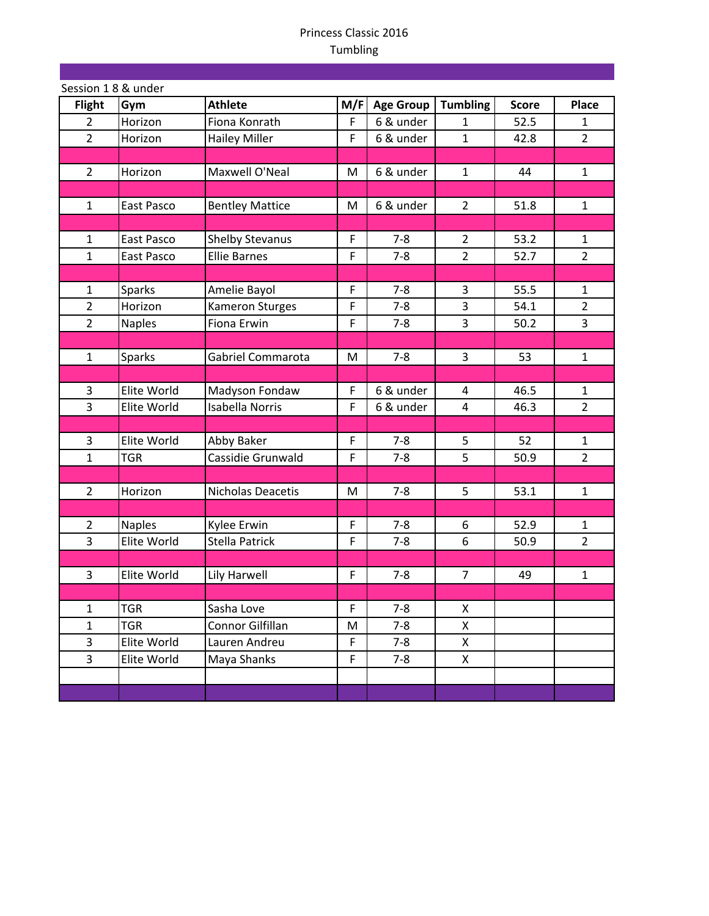| Session 18 & under |               |                        |     |                  |                 |              |                |
|--------------------|---------------|------------------------|-----|------------------|-----------------|--------------|----------------|
| <b>Flight</b>      | Gym           | <b>Athlete</b>         | M/F | <b>Age Group</b> | <b>Tumbling</b> | <b>Score</b> | <b>Place</b>   |
| $\overline{2}$     | Horizon       | Fiona Konrath          | F   | 6 & under        | 1               | 52.5         | 1              |
| $\overline{2}$     | Horizon       | <b>Hailey Miller</b>   | F   | 6 & under        | $\mathbf{1}$    | 42.8         | $\overline{2}$ |
|                    |               |                        |     |                  |                 |              |                |
| $\overline{2}$     | Horizon       | Maxwell O'Neal         | M   | 6 & under        | $\mathbf{1}$    | 44           | $\mathbf{1}$   |
|                    |               |                        |     |                  |                 |              |                |
| $\mathbf{1}$       | East Pasco    | <b>Bentley Mattice</b> | M   | 6 & under        | $\overline{2}$  | 51.8         | $\mathbf{1}$   |
|                    |               |                        |     |                  |                 |              |                |
| $\mathbf{1}$       | East Pasco    | <b>Shelby Stevanus</b> | F   | $7 - 8$          | 2               | 53.2         | 1              |
| $\mathbf{1}$       | East Pasco    | <b>Ellie Barnes</b>    | F   | $7 - 8$          | $\overline{2}$  | 52.7         | $\overline{2}$ |
|                    |               |                        |     |                  |                 |              |                |
| $\mathbf{1}$       | <b>Sparks</b> | Amelie Bayol           | F   | $7 - 8$          | 3               | 55.5         | $\mathbf{1}$   |
| $\overline{2}$     | Horizon       | Kameron Sturges        | F   | $7 - 8$          | 3               | 54.1         | $\overline{2}$ |
| $\overline{2}$     | <b>Naples</b> | Fiona Erwin            | F   | $7 - 8$          | 3               | 50.2         | 3              |
|                    |               |                        |     |                  |                 |              |                |
| $\mathbf{1}$       | Sparks        | Gabriel Commarota      | M   | $7 - 8$          | 3               | 53           | $\mathbf{1}$   |
|                    |               |                        |     |                  |                 |              |                |
| 3                  | Elite World   | Madyson Fondaw         | F   | 6 & under        | $\overline{4}$  | 46.5         | $\mathbf{1}$   |
| 3                  | Elite World   | <b>Isabella Norris</b> | F   | 6 & under        | 4               | 46.3         | $\overline{2}$ |
|                    |               |                        |     |                  |                 |              |                |
| 3                  | Elite World   | Abby Baker             | F   | $7 - 8$          | 5               | 52           | $\mathbf{1}$   |
| $\mathbf{1}$       | <b>TGR</b>    | Cassidie Grunwald      | F   | $7 - 8$          | 5               | 50.9         | $\overline{2}$ |
|                    |               |                        |     |                  |                 |              |                |
| $\overline{2}$     | Horizon       | Nicholas Deacetis      | M   | $7 - 8$          | 5               | 53.1         | $\mathbf 1$    |
|                    |               |                        |     |                  |                 |              |                |
| $\overline{2}$     | <b>Naples</b> | Kylee Erwin            | F   | $7 - 8$          | 6               | 52.9         | $\mathbf{1}$   |
| 3                  | Elite World   | Stella Patrick         | F   | $7 - 8$          | 6               | 50.9         | $\overline{2}$ |
|                    |               |                        |     |                  |                 |              |                |
| 3                  | Elite World   | Lily Harwell           | F   | $7 - 8$          | $\overline{7}$  | 49           | $\mathbf{1}$   |
|                    |               |                        |     |                  |                 |              |                |
| $\mathbf{1}$       | <b>TGR</b>    | Sasha Love             | F   | $7 - 8$          | X               |              |                |
| $\mathbf{1}$       | <b>TGR</b>    | Connor Gilfillan       | M   | $7 - 8$          | X               |              |                |
| 3                  | Elite World   | Lauren Andreu          | F   | $7 - 8$          | X               |              |                |
| $\overline{3}$     | Elite World   | Maya Shanks            | F   | $7 - 8$          | $\mathsf{X}$    |              |                |
|                    |               |                        |     |                  |                 |              |                |
|                    |               |                        |     |                  |                 |              |                |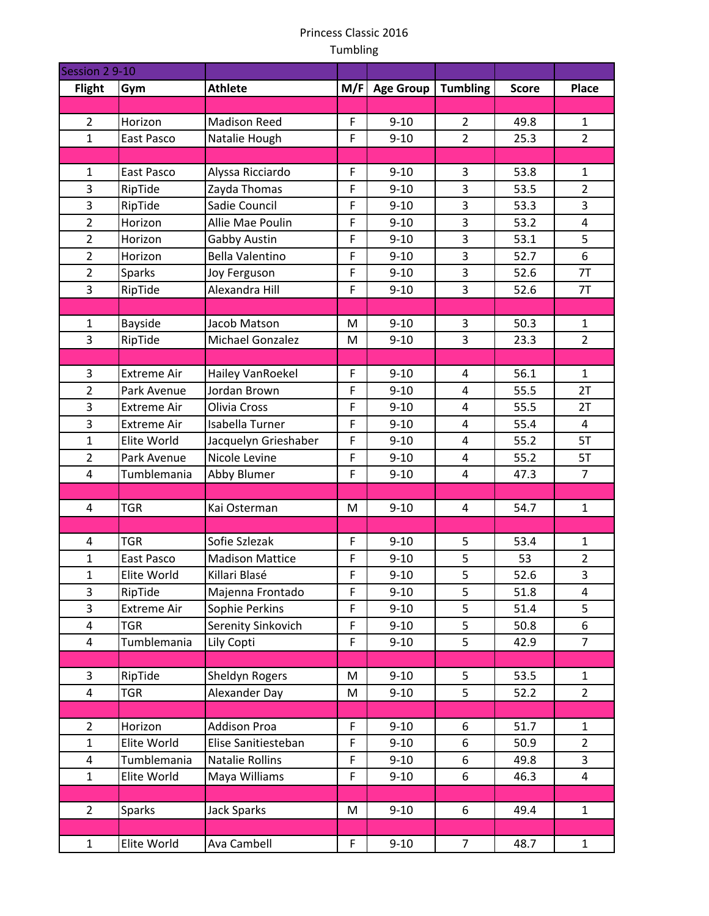| Session 2 9-10          |                    |                        |             |                  |                 |              |                |
|-------------------------|--------------------|------------------------|-------------|------------------|-----------------|--------------|----------------|
| <b>Flight</b>           | Gym                | <b>Athlete</b>         | M/F         | <b>Age Group</b> | <b>Tumbling</b> | <b>Score</b> | Place          |
|                         |                    |                        |             |                  |                 |              |                |
| $\overline{2}$          | Horizon            | <b>Madison Reed</b>    | F           | $9 - 10$         | $\overline{2}$  | 49.8         | $\mathbf{1}$   |
| $\mathbf{1}$            | East Pasco         | Natalie Hough          | F           | $9 - 10$         | $\overline{2}$  | 25.3         | $\overline{2}$ |
|                         |                    |                        |             |                  |                 |              |                |
| $\mathbf{1}$            | East Pasco         | Alyssa Ricciardo       | F           | $9 - 10$         | 3               | 53.8         | 1              |
| $\overline{3}$          | RipTide            | Zayda Thomas           | F           | $9 - 10$         | $\overline{3}$  | 53.5         | $\overline{2}$ |
| 3                       | RipTide            | Sadie Council          | F           | $9 - 10$         | 3               | 53.3         | 3              |
| $\overline{2}$          | Horizon            | Allie Mae Poulin       | F           | $9 - 10$         | 3               | 53.2         | 4              |
| $\overline{2}$          | Horizon            | Gabby Austin           | F           | $9 - 10$         | 3               | 53.1         | 5              |
| $\overline{2}$          | Horizon            | <b>Bella Valentino</b> | F           | $9 - 10$         | 3               | 52.7         | 6              |
| $\overline{2}$          | <b>Sparks</b>      | Joy Ferguson           | F           | $9 - 10$         | 3               | 52.6         | 7T             |
| 3                       | RipTide            | Alexandra Hill         | F           | $9 - 10$         | 3               | 52.6         | 7T             |
|                         |                    |                        |             |                  |                 |              |                |
| $\mathbf{1}$            | Bayside            | Jacob Matson           | M           | $9 - 10$         | 3               | 50.3         | $\mathbf{1}$   |
| 3                       | RipTide            | Michael Gonzalez       | M           | $9 - 10$         | 3               | 23.3         | $\overline{2}$ |
|                         |                    |                        |             |                  |                 |              |                |
| 3                       | <b>Extreme Air</b> | Hailey VanRoekel       | F           | $9 - 10$         | 4               | 56.1         | $\mathbf{1}$   |
| $\overline{2}$          | Park Avenue        | Jordan Brown           | F           | $9 - 10$         | $\overline{4}$  | 55.5         | 2T             |
| 3                       | <b>Extreme Air</b> | Olivia Cross           | F           | $9 - 10$         | $\overline{4}$  | 55.5         | 2T             |
| 3                       | <b>Extreme Air</b> | Isabella Turner        | F           | $9 - 10$         | $\overline{4}$  | 55.4         | $\overline{4}$ |
| $\mathbf{1}$            | Elite World        | Jacquelyn Grieshaber   | F           | $9 - 10$         | $\overline{4}$  | 55.2         | 5T             |
| $\overline{2}$          | Park Avenue        | Nicole Levine          | F           | $9 - 10$         | $\overline{4}$  | 55.2         | 5T             |
| 4                       | Tumblemania        | Abby Blumer            | F           | $9 - 10$         | $\overline{a}$  | 47.3         | $\overline{7}$ |
|                         |                    |                        |             |                  |                 |              |                |
| 4                       | <b>TGR</b>         | Kai Osterman           | M           | $9 - 10$         | 4               | 54.7         | $\mathbf{1}$   |
| 4                       | <b>TGR</b>         | Sofie Szlezak          | F           | $9 - 10$         | 5               | 53.4         | $\mathbf{1}$   |
| $\mathbf{1}$            | East Pasco         | <b>Madison Mattice</b> | F           | $9 - 10$         | 5               | 53           | $\overline{2}$ |
| $\mathbf{1}$            | Elite World        | Killari Blasé          | F           | $9 - 10$         | 5               | 52.6         | 3              |
| 3                       | RipTide            | Majenna Frontado       | F           | $9 - 10$         | 5               | 51.8         | 4              |
| $\overline{3}$          | <b>Extreme Air</b> | Sophie Perkins         | F           | $9 - 10$         | 5               | 51.4         | 5              |
| $\overline{\mathbf{4}}$ | <b>TGR</b>         | Serenity Sinkovich     | F           | $9 - 10$         | 5               | 50.8         | 6              |
| 4                       | Tumblemania        | Lily Copti             | F           | $9 - 10$         | 5               | 42.9         | $\overline{7}$ |
|                         |                    |                        |             |                  |                 |              |                |
| 3                       | RipTide            | Sheldyn Rogers         | M           | $9 - 10$         | 5               | 53.5         | 1              |
| 4                       | <b>TGR</b>         | Alexander Day          | M           | $9 - 10$         | 5               | 52.2         | $\overline{2}$ |
|                         |                    |                        |             |                  |                 |              |                |
| $\overline{2}$          | Horizon            | <b>Addison Proa</b>    | F           | $9 - 10$         | 6               | 51.7         | $\mathbf{1}$   |
| $\mathbf{1}$            | Elite World        | Elise Sanitiesteban    | F           | $9 - 10$         | 6               | 50.9         | $\overline{2}$ |
| 4                       | Tumblemania        | <b>Natalie Rollins</b> | $\mathsf F$ | $9 - 10$         | 6               | 49.8         | $\overline{3}$ |
| $\mathbf{1}$            | Elite World        | Maya Williams          | F           | $9 - 10$         | 6               | 46.3         | $\overline{4}$ |
|                         |                    |                        |             |                  |                 |              |                |
| $\overline{2}$          | Sparks             | <b>Jack Sparks</b>     | M           | $9 - 10$         | 6               | 49.4         | $\mathbf{1}$   |
|                         |                    |                        |             |                  |                 |              |                |
| $\mathbf{1}$            | Elite World        | Ava Cambell            | F.          | $9 - 10$         | $\overline{7}$  | 48.7         | $\mathbf{1}$   |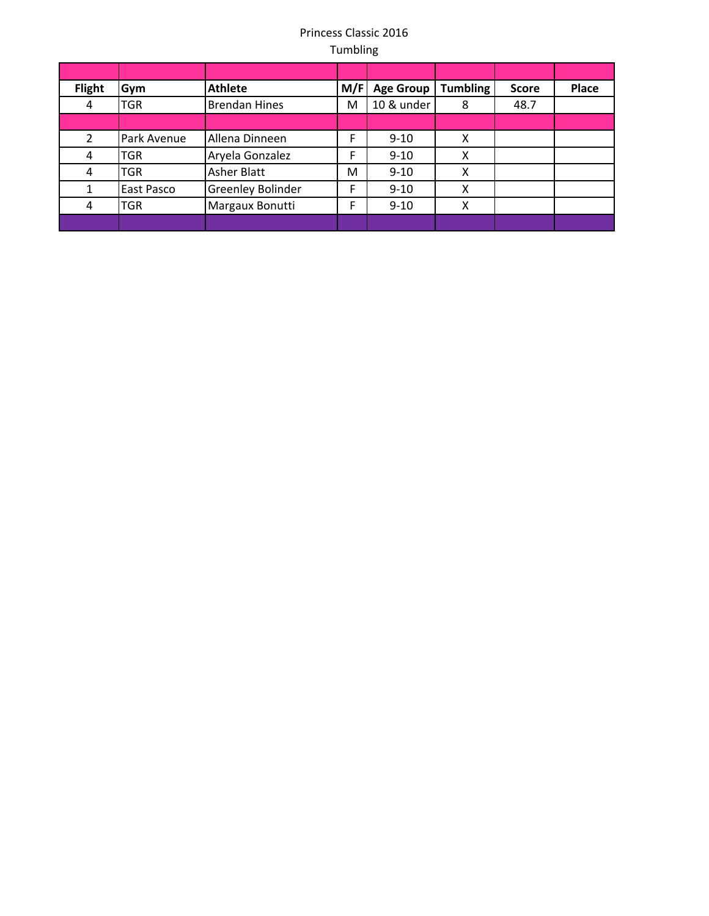| <b>Flight</b> | Gym         | <b>Athlete</b>           | M/F | <b>Age Group</b> | <b>Tumbling</b> | <b>Score</b> | Place |
|---------------|-------------|--------------------------|-----|------------------|-----------------|--------------|-------|
| 4             | TGR         | <b>Brendan Hines</b>     | M   | 10 & under       | 8               | 48.7         |       |
|               |             |                          |     |                  |                 |              |       |
| 2             | Park Avenue | Allena Dinneen           | F   | $9 - 10$         | Χ               |              |       |
| 4             | TGR         | Aryela Gonzalez          | F   | $9 - 10$         | χ               |              |       |
| 4             | TGR         | <b>Asher Blatt</b>       | M   | $9 - 10$         | χ               |              |       |
| 1             | East Pasco  | <b>Greenley Bolinder</b> | F   | $9 - 10$         | Χ               |              |       |
| 4             | <b>TGR</b>  | Margaux Bonutti          | F   | $9 - 10$         | X               |              |       |
|               |             |                          |     |                  |                 |              |       |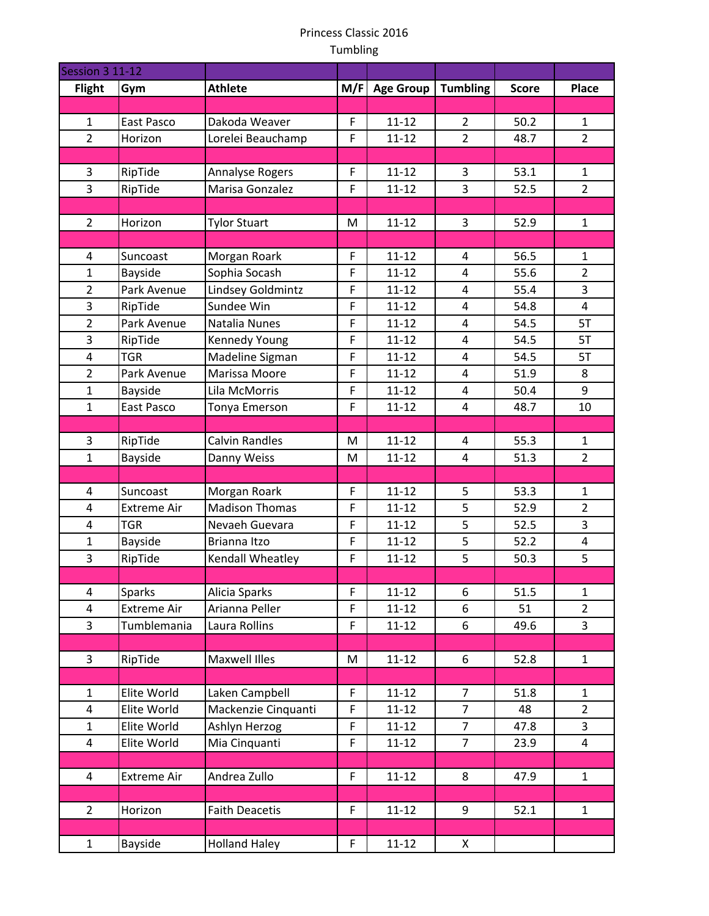| <b>Session 3 11-12</b> |                    |                       |     |                  |                 |              |                |
|------------------------|--------------------|-----------------------|-----|------------------|-----------------|--------------|----------------|
| <b>Flight</b>          | Gym                | <b>Athlete</b>        | M/F | <b>Age Group</b> | <b>Tumbling</b> | <b>Score</b> | <b>Place</b>   |
|                        |                    |                       |     |                  |                 |              |                |
| $\mathbf{1}$           | East Pasco         | Dakoda Weaver         | F   | $11 - 12$        | $\overline{2}$  | 50.2         | $\mathbf{1}$   |
| $\overline{2}$         | Horizon            | Lorelei Beauchamp     | F   | $11 - 12$        | $\overline{2}$  | 48.7         | $\overline{2}$ |
|                        |                    |                       |     |                  |                 |              |                |
| 3                      | RipTide            | Annalyse Rogers       | F   | $11 - 12$        | 3               | 53.1         | 1              |
| $\overline{3}$         | RipTide            | Marisa Gonzalez       | F   | $11 - 12$        | $\overline{3}$  | 52.5         | $\overline{2}$ |
|                        |                    |                       |     |                  |                 |              |                |
| $\overline{2}$         | Horizon            | <b>Tylor Stuart</b>   | M   | $11 - 12$        | 3               | 52.9         | $\mathbf{1}$   |
|                        |                    |                       |     |                  |                 |              |                |
| 4                      | Suncoast           | Morgan Roark          | F   | $11 - 12$        | 4               | 56.5         | 1              |
| $\mathbf{1}$           | Bayside            | Sophia Socash         | F   | $11 - 12$        | 4               | 55.6         | $\overline{2}$ |
| $\overline{2}$         | Park Avenue        | Lindsey Goldmintz     | F   | $11 - 12$        | $\overline{4}$  | 55.4         | 3              |
| 3                      | RipTide            | Sundee Win            | F   | $11 - 12$        | 4               | 54.8         | $\overline{4}$ |
| $\overline{2}$         | Park Avenue        | Natalia Nunes         | F   | $11 - 12$        | 4               | 54.5         | 5T             |
| 3                      | RipTide            | Kennedy Young         | F   | $11 - 12$        | 4               | 54.5         | 5T             |
| 4                      | <b>TGR</b>         | Madeline Sigman       | F   | $11 - 12$        | 4               | 54.5         | 5T             |
| $\overline{2}$         | Park Avenue        | Marissa Moore         | F   | $11 - 12$        | 4               | 51.9         | 8              |
| $\mathbf{1}$           | Bayside            | Lila McMorris         | F   | $11 - 12$        | 4               | 50.4         | 9              |
| $\mathbf{1}$           | East Pasco         | Tonya Emerson         | F   | $11 - 12$        | 4               | 48.7         | 10             |
|                        |                    |                       |     |                  |                 |              |                |
| 3                      | RipTide            | <b>Calvin Randles</b> | M   | $11 - 12$        | 4               | 55.3         | $\mathbf{1}$   |
| $\mathbf{1}$           | Bayside            | Danny Weiss           | M   | $11 - 12$        | 4               | 51.3         | $\overline{2}$ |
| 4                      | Suncoast           | Morgan Roark          | F   | $11 - 12$        | 5               | 53.3         | $\mathbf{1}$   |
| 4                      | <b>Extreme Air</b> | <b>Madison Thomas</b> | F   | $11 - 12$        | 5               | 52.9         | $\overline{2}$ |
| 4                      | <b>TGR</b>         | Nevaeh Guevara        | F   | $11 - 12$        | 5               | 52.5         | $\overline{3}$ |
| $\mathbf{1}$           | Bayside            | Brianna Itzo          | F   | $11 - 12$        | 5               | 52.2         | 4              |
| 3                      | RipTide            | Kendall Wheatley      | F   | $11 - 12$        | 5               | 50.3         | 5              |
|                        |                    |                       |     |                  |                 |              |                |
| 4                      | Sparks             | Alicia Sparks         | F   | $11 - 12$        | 6               | 51.5         | $\mathbf{1}$   |
| $\overline{4}$         | <b>Extreme Air</b> | Arianna Peller        | F   | $11 - 12$        | 6               | 51           | $\overline{2}$ |
| $\overline{3}$         | Tumblemania        | Laura Rollins         | F   | $11 - 12$        | 6               | 49.6         | $\mathbf{3}$   |
|                        |                    |                       |     |                  |                 |              |                |
| $\mathbf{3}$           | RipTide            | Maxwell Illes         | M   | $11 - 12$        | 6               | 52.8         | $\mathbf{1}$   |
|                        |                    |                       |     |                  |                 |              |                |
| $\mathbf{1}$           | Elite World        | Laken Campbell        | F   | $11 - 12$        | $\overline{7}$  | 51.8         | $\mathbf{1}$   |
| 4                      | Elite World        | Mackenzie Cinquanti   | F   | $11 - 12$        | $\overline{7}$  | 48           | $\overline{2}$ |
| $\mathbf{1}$           | Elite World        | Ashlyn Herzog         | F   | $11 - 12$        | $\overline{7}$  | 47.8         | $\overline{3}$ |
| 4                      | Elite World        | Mia Cinquanti         | F   | $11 - 12$        | $\overline{7}$  | 23.9         | $\overline{4}$ |
|                        |                    |                       |     |                  |                 |              |                |
| 4                      | <b>Extreme Air</b> | Andrea Zullo          | F   | $11 - 12$        | 8               | 47.9         | $\mathbf{1}$   |
|                        |                    |                       |     |                  |                 |              |                |
| $\overline{2}$         | Horizon            | <b>Faith Deacetis</b> | F   | $11 - 12$        | 9               | 52.1         | $\mathbf{1}$   |
|                        |                    |                       |     |                  |                 |              |                |
| $\mathbf{1}$           | Bayside            | <b>Holland Haley</b>  | F.  | $11 - 12$        | X               |              |                |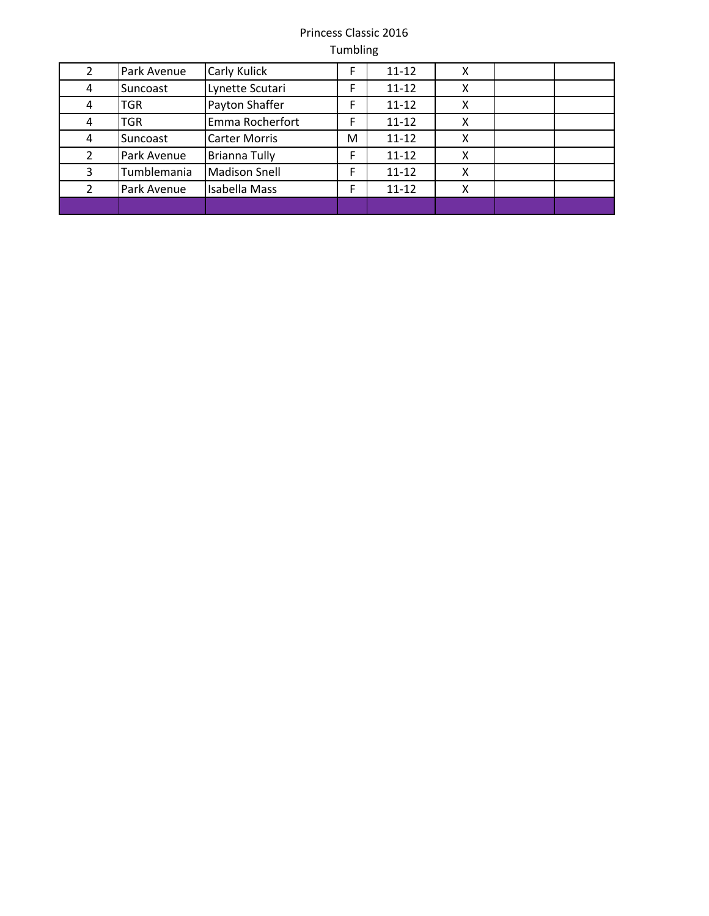|   | Park Avenue | Carly Kulick         |   | $11 - 12$ | χ |  |
|---|-------------|----------------------|---|-----------|---|--|
| 4 | Suncoast    | Lynette Scutari      |   | $11 - 12$ | Χ |  |
| 4 | <b>TGR</b>  | Payton Shaffer       | F | $11 - 12$ | х |  |
| 4 | <b>TGR</b>  | Emma Rocherfort      | F | $11 - 12$ | x |  |
| 4 | Suncoast    | <b>Carter Morris</b> | м | $11 - 12$ | х |  |
|   | Park Avenue | <b>Brianna Tully</b> | E | $11 - 12$ | х |  |
| 3 | Tumblemania | <b>Madison Snell</b> | F | $11 - 12$ | x |  |
|   | Park Avenue | <b>Isabella Mass</b> | F | $11 - 12$ | Χ |  |
|   |             |                      |   |           |   |  |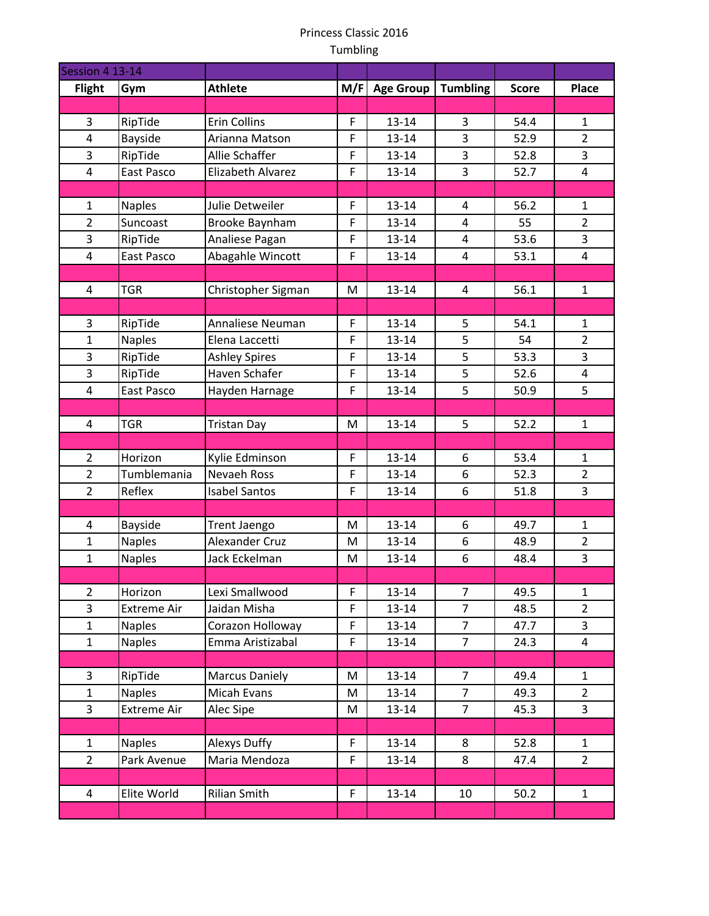| Session 4 13-14         |                    |                       |     |                  |                 |              |                |
|-------------------------|--------------------|-----------------------|-----|------------------|-----------------|--------------|----------------|
| <b>Flight</b>           | Gym                | <b>Athlete</b>        | M/F | <b>Age Group</b> | <b>Tumbling</b> | <b>Score</b> | Place          |
|                         |                    |                       |     |                  |                 |              |                |
| 3                       | RipTide            | Erin Collins          | F   | $13 - 14$        | 3               | 54.4         | $\mathbf{1}$   |
| 4                       | Bayside            | Arianna Matson        | F   | $13 - 14$        | 3               | 52.9         | $\overline{2}$ |
| 3                       | RipTide            | Allie Schaffer        | F   | $13 - 14$        | 3               | 52.8         | 3              |
| $\overline{4}$          | East Pasco         | Elizabeth Alvarez     | F   | $13 - 14$        | $\overline{3}$  | 52.7         | 4              |
|                         |                    |                       |     |                  |                 |              |                |
| $\mathbf{1}$            | <b>Naples</b>      | Julie Detweiler       | F   | $13 - 14$        | 4               | 56.2         | $\mathbf{1}$   |
| $\overline{2}$          | Suncoast           | Brooke Baynham        | F   | 13-14            | 4               | 55           | $\overline{2}$ |
| 3                       | RipTide            | Analiese Pagan        | F   | $13 - 14$        | 4               | 53.6         | 3              |
| 4                       | East Pasco         | Abagahle Wincott      | F   | $13 - 14$        | 4               | 53.1         | 4              |
|                         |                    |                       |     |                  |                 |              |                |
| 4                       | <b>TGR</b>         | Christopher Sigman    | M   | $13 - 14$        | 4               | 56.1         | $\mathbf{1}$   |
|                         |                    |                       |     |                  |                 |              |                |
| 3                       | RipTide            | Annaliese Neuman      | F   | $13 - 14$        | 5               | 54.1         | 1              |
| $\mathbf{1}$            | <b>Naples</b>      | Elena Laccetti        | F   | $13 - 14$        | 5               | 54           | $\overline{2}$ |
| 3                       | RipTide            | <b>Ashley Spires</b>  | F   | 13-14            | 5               | 53.3         | 3              |
| 3                       | RipTide            | Haven Schafer         | F   | $13 - 14$        | 5               | 52.6         | 4              |
| $\overline{\mathbf{4}}$ | East Pasco         | Hayden Harnage        | F   | $13 - 14$        | 5               | 50.9         | 5              |
|                         |                    |                       |     |                  |                 |              |                |
| $\overline{4}$          | <b>TGR</b>         | <b>Tristan Day</b>    | M   | $13 - 14$        | 5               | 52.2         | $\mathbf{1}$   |
|                         |                    |                       |     |                  |                 |              |                |
| $\overline{2}$          | Horizon            | Kylie Edminson        | F   | $13 - 14$        | 6               | 53.4         | $\mathbf{1}$   |
| $\overline{2}$          | Tumblemania        | <b>Nevaeh Ross</b>    | F   | $13 - 14$        | 6               | 52.3         | $\overline{2}$ |
| $\overline{2}$          | Reflex             | <b>Isabel Santos</b>  | F   | $13 - 14$        | 6               | 51.8         | 3              |
|                         |                    |                       |     |                  |                 |              |                |
| 4                       | <b>Bayside</b>     | Trent Jaengo          | M   | $13 - 14$        | 6               | 49.7         | $\mathbf{1}$   |
| 1                       | <b>Naples</b>      | Alexander Cruz        | M   | 13-14            | 6               | 48.9         | $\overline{2}$ |
| $\mathbf{1}$            | <b>Naples</b>      | Jack Eckelman         | M   | $13 - 14$        | 6               | 48.4         | $\overline{3}$ |
|                         |                    |                       |     |                  |                 |              |                |
| $\overline{2}$          | Horizon            | Lexi Smallwood        | F   | $13 - 14$        | $\overline{7}$  | 49.5         | $\mathbf{1}$   |
| 3                       | Extreme Air        | Jaidan Misha          | F   | $13 - 14$        | $\overline{7}$  | 48.5         | $\overline{2}$ |
| $\mathbf{1}$            | <b>Naples</b>      | Corazon Holloway      | F   | $13 - 14$        | $\overline{7}$  | 47.7         | $\mathbf{3}$   |
| $\mathbf{1}$            | <b>Naples</b>      | Emma Aristizabal      | F   | $13 - 14$        | $\overline{7}$  | 24.3         | 4              |
|                         |                    |                       |     |                  |                 |              |                |
| 3                       | RipTide            | <b>Marcus Daniely</b> | M   | $13 - 14$        | $\overline{7}$  | 49.4         | $\mathbf{1}$   |
| $\mathbf{1}$            | <b>Naples</b>      | Micah Evans           | M   | $13 - 14$        | $\overline{7}$  | 49.3         | $\overline{2}$ |
| $\overline{3}$          | <b>Extreme Air</b> | Alec Sipe             | M   | $13 - 14$        | $\overline{7}$  | 45.3         | $\mathbf{3}$   |
|                         |                    |                       |     |                  |                 |              |                |
| $\mathbf{1}$            | <b>Naples</b>      | Alexys Duffy          | F   | $13 - 14$        | 8               | 52.8         | $\mathbf{1}$   |
| $\overline{2}$          | Park Avenue        | Maria Mendoza         | F   | $13 - 14$        | 8               | 47.4         | $\overline{2}$ |
|                         |                    |                       |     |                  |                 |              |                |
| 4                       | Elite World        | Rilian Smith          | F.  | $13 - 14$        | 10              | 50.2         | $\mathbf{1}$   |
|                         |                    |                       |     |                  |                 |              |                |
|                         |                    |                       |     |                  |                 |              |                |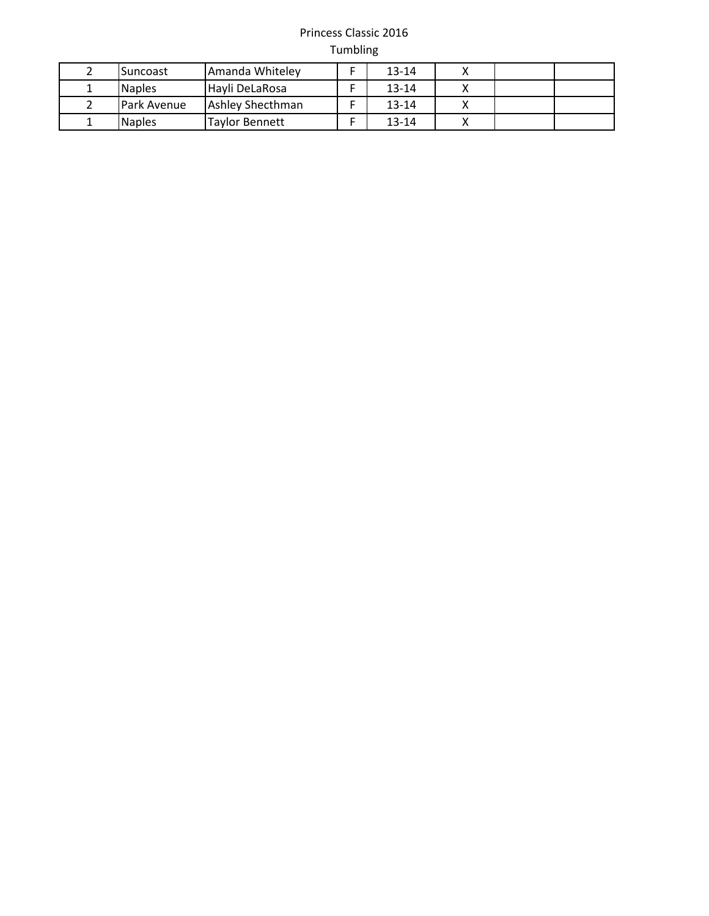| <b>Suncoast</b>    | Amanda Whitelev       | $13 - 14$ |  |  |
|--------------------|-----------------------|-----------|--|--|
| <b>Naples</b>      | Havli DeLaRosa        | $13 - 14$ |  |  |
| <b>Park Avenue</b> | Ashley Shecthman      | $13 - 14$ |  |  |
| <b>Naples</b>      | <b>Tavlor Bennett</b> | $13 - 14$ |  |  |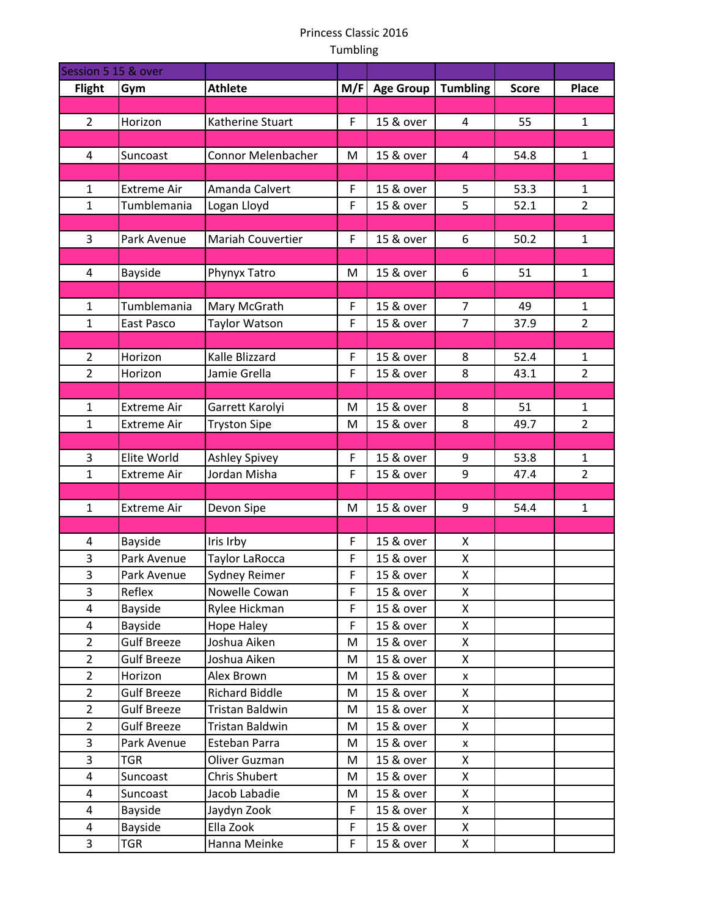| Session 5 15 & over     |                    |                          |     |                  |                    |              |                |
|-------------------------|--------------------|--------------------------|-----|------------------|--------------------|--------------|----------------|
| <b>Flight</b>           | Gym                | <b>Athlete</b>           | M/F | <b>Age Group</b> | <b>Tumbling</b>    | <b>Score</b> | Place          |
|                         |                    |                          |     |                  |                    |              |                |
| $\overline{2}$          | Horizon            | Katherine Stuart         | F   | 15 & over        | 4                  | 55           | $\mathbf{1}$   |
|                         |                    |                          |     |                  |                    |              |                |
| 4                       | Suncoast           | Connor Melenbacher       | M   | 15 & over        | 4                  | 54.8         | $\mathbf{1}$   |
|                         |                    |                          |     |                  |                    |              |                |
| $\mathbf{1}$            | <b>Extreme Air</b> | Amanda Calvert           | F   | 15 & over        | 5                  | 53.3         | 1              |
| $\mathbf{1}$            | Tumblemania        | Logan Lloyd              | F   | 15 & over        | 5                  | 52.1         | $\overline{2}$ |
|                         |                    |                          |     |                  |                    |              |                |
| 3                       | Park Avenue        | <b>Mariah Couvertier</b> | F   | 15 & over        | 6                  | 50.2         | $\mathbf{1}$   |
|                         |                    |                          |     |                  |                    |              |                |
| 4                       | Bayside            | Phynyx Tatro             | M   | 15 & over        | 6                  | 51           | $\mathbf{1}$   |
|                         |                    |                          |     |                  |                    |              |                |
| $\mathbf{1}$            | Tumblemania        | Mary McGrath             | F   | 15 & over        | $\overline{7}$     | 49           | $\mathbf{1}$   |
| $\mathbf{1}$            | East Pasco         | <b>Taylor Watson</b>     | F   | 15 & over        | $\overline{7}$     | 37.9         | $2^{\circ}$    |
|                         |                    |                          |     |                  |                    |              |                |
| $\overline{2}$          | Horizon            | Kalle Blizzard           | F   | 15 & over        | 8                  | 52.4         | 1              |
| $\overline{2}$          | Horizon            | Jamie Grella             | F   | 15 & over        | 8                  | 43.1         | $\overline{2}$ |
|                         |                    |                          |     |                  |                    |              |                |
| $\mathbf{1}$            | <b>Extreme Air</b> | Garrett Karolyi          | M   | 15 & over        | 8                  | 51           | 1              |
| $\mathbf{1}$            | <b>Extreme Air</b> | <b>Tryston Sipe</b>      | M   | 15 & over        | 8                  | 49.7         | $\overline{2}$ |
|                         |                    |                          |     |                  |                    |              |                |
| 3                       | Elite World        | <b>Ashley Spivey</b>     | F   | 15 & over        | 9                  | 53.8         | $\mathbf{1}$   |
| $\mathbf{1}$            | <b>Extreme Air</b> | Jordan Misha             | F   | 15 & over        | 9                  | 47.4         | $\overline{2}$ |
|                         |                    |                          |     |                  |                    |              |                |
| $\mathbf{1}$            | <b>Extreme Air</b> | Devon Sipe               | M   | 15 & over        | 9                  | 54.4         | $\mathbf{1}$   |
|                         |                    |                          |     |                  |                    |              |                |
| 4                       | Bayside            | Iris Irby                | F   | 15 & over        | X                  |              |                |
| 3                       | Park Avenue        | Taylor LaRocca           | F   | 15 & over        | X                  |              |                |
| 3                       | Park Avenue        | Sydney Reimer            | F   | 15 & over        | X                  |              |                |
| 3                       | Reflex             | Nowelle Cowan            | F   | 15 & over        | X                  |              |                |
| 4                       | Bayside            | Rylee Hickman            | F   | 15 & over        | X                  |              |                |
| 4                       | Bayside            | Hope Haley               | F   | 15 & over        | X                  |              |                |
| $\overline{2}$          | Gulf Breeze        | Joshua Aiken             | M   | 15 & over        | X                  |              |                |
| $\overline{2}$          | <b>Gulf Breeze</b> | Joshua Aiken             | M   | 15 & over        | X                  |              |                |
| $\overline{2}$          | Horizon            | Alex Brown               | M   | 15 & over        | X                  |              |                |
| $\overline{2}$          | <b>Gulf Breeze</b> | <b>Richard Biddle</b>    | M   | 15 & over        | X                  |              |                |
| $\overline{2}$          | <b>Gulf Breeze</b> | Tristan Baldwin          | M   | 15 & over        | X                  |              |                |
| $\overline{2}$          | <b>Gulf Breeze</b> | Tristan Baldwin          | M   | 15 & over        | X                  |              |                |
| 3                       | Park Avenue        | Esteban Parra            | M   | 15 & over        | $\pmb{\mathsf{x}}$ |              |                |
| 3                       | TGR                | Oliver Guzman            | М   | 15 & over        | X                  |              |                |
| 4                       | Suncoast           | Chris Shubert            | M   | 15 & over        | X                  |              |                |
| 4                       | Suncoast           | Jacob Labadie            | M   | 15 & over        | X                  |              |                |
| 4                       | Bayside            | Jaydyn Zook              | F   | 15 & over        | X                  |              |                |
| $\overline{\mathbf{4}}$ | Bayside            | Ella Zook                | F   | 15 & over        | X                  |              |                |
| 3                       | TGR                | Hanna Meinke             | F   | 15 & over        | X                  |              |                |